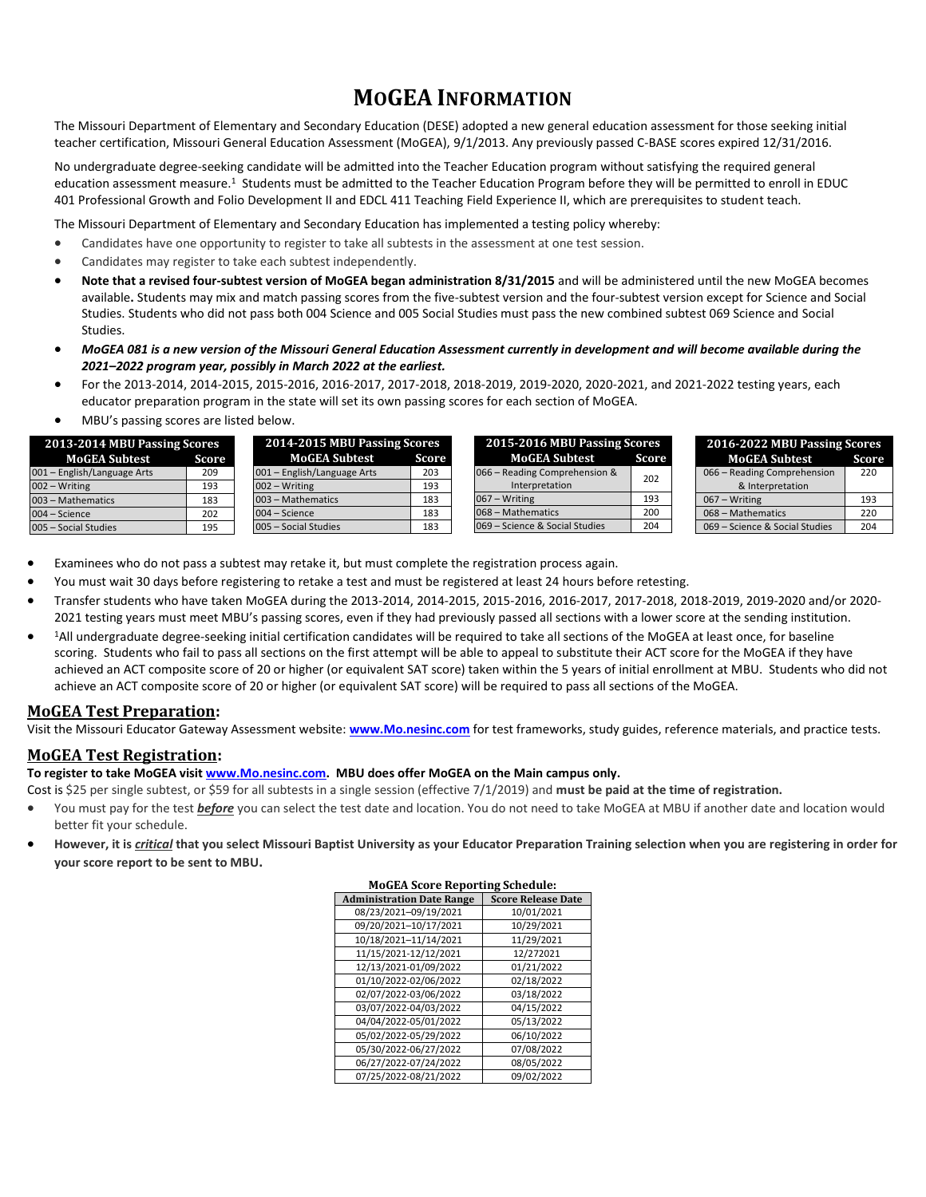# **MOGEA INFORMATION**

The Missouri Department of Elementary and Secondary Education (DESE) adopted a new general education assessment for those seeking initial teacher certification, Missouri General Education Assessment (MoGEA), 9/1/2013. Any previously passed C-BASE scores expired 12/31/2016.

No undergraduate degree-seeking candidate will be admitted into the Teacher Education program without satisfying the required general education assessment measure.<sup>1</sup> Students must be admitted to the Teacher Education Program before they will be permitted to enroll in EDUC 401 Professional Growth and Folio Development II and EDCL 411 Teaching Field Experience II, which are prerequisites to student teach.

The Missouri Department of Elementary and Secondary Education has implemented a testing policy whereby:

- Candidates have one opportunity to register to take all subtests in the assessment at one test session.
- Candidates may register to take each subtest independently.
- **Note that a revised four-subtest version of MoGEA began administration 8/31/2015** and will be administered until the new MoGEA becomes available**.** Students may mix and match passing scores from the five-subtest version and the four-subtest version except for Science and Social Studies. Students who did not pass both 004 Science and 005 Social Studies must pass the new combined subtest 069 Science and Social Studies.
- *MoGEA 081 is a new version of the Missouri General Education Assessment currently in development and will become available during the 2021–2022 program year, possibly in March 2022 at the earliest.*
- For the 2013-2014, 2014-2015, 2015-2016, 2016-2017, 2017-2018, 2018-2019, 2019-2020, 2020-2021, and 2021-2022 testing years, each educator preparation program in the state will set its own passing scores for each section of MoGEA.
- MBU's passing scores are listed below.

| 2013-2014 MBU Passing Scores |              | 2014-2015 MBU Passing Scores       |  |
|------------------------------|--------------|------------------------------------|--|
| <b>MoGEA Subtest</b>         | <b>Score</b> | <b>MoGEA Subtest</b><br>Score      |  |
| 001 - English/Language Arts  | 209          | 001 - English/Language Arts<br>203 |  |
| 002 - Writing                | 193          | $002 - Writing$<br>193             |  |
| 003 - Mathematics            | 183          | 003 - Mathematics<br>183           |  |
| 004 - Science                | 202          | 004 - Science<br>183               |  |
| 005 - Social Studies         | 195          | 005 - Social Studies<br>183        |  |

| 2015-2016 MBU Passing Scores                    |       |  |
|-------------------------------------------------|-------|--|
| <b>MoGEA Subtest</b>                            | Score |  |
| 066 – Reading Comprehension &<br>Interpretation | 202   |  |
| 067 – Writing                                   | 193   |  |
| 068 – Mathematics                               | 200   |  |
| 069 – Science & Social Studies                  | 204   |  |

| 2016-2022 MBU Passing Scores   |              |  |
|--------------------------------|--------------|--|
| <b>MoGEA Subtest</b>           | <b>Score</b> |  |
| 066 - Reading Comprehension    | 220          |  |
| & Interpretation               |              |  |
| $067 - Writing$                | 193          |  |
| 068 - Mathematics              | 220          |  |
| 069 - Science & Social Studies | 204          |  |

- Examinees who do not pass a subtest may retake it, but must complete the registration process again.
- You must wait 30 days before registering to retake a test and must be registered at least 24 hours before retesting.
- Transfer students who have taken MoGEA during the 2013-2014, 2014-2015, 2015-2016, 2016-2017, 2017-2018, 2018-2019, 2019-2020 and/or 2020- 2021 testing years must meet MBU's passing scores, even if they had previously passed all sections with a lower score at the sending institution.
- <sup>1</sup>All undergraduate degree-seeking initial certification candidates will be required to take all sections of the MoGEA at least once, for baseline scoring. Students who fail to pass all sections on the first attempt will be able to appeal to substitute their ACT score for the MoGEA if they have achieved an ACT composite score of 20 or higher (or equivalent SAT score) taken within the 5 years of initial enrollment at MBU. Students who did not achieve an ACT composite score of 20 or higher (or equivalent SAT score) will be required to pass all sections of the MoGEA.

## **MoGEA Test Preparation:**

Visit the Missouri Educator Gateway Assessment website: **[www.Mo.nesinc.com](http://www.mo.nesinc.com/)** for test frameworks, study guides, reference materials, and practice tests.

## **MoGEA Test Registration:**

#### **To register to take MoGEA visi[t www.Mo.nesinc.com.](http://www.mo.nesinc.com/) MBU does offer MoGEA on the Main campus only.**

- Cost is \$25 per single subtest, or \$59 for all subtests in a single session (effective 7/1/2019) and **must be paid at the time of registration.**
- You must pay for the test *before* you can select the test date and location. You do not need to take MoGEA at MBU if another date and location would better fit your schedule.
- **However, it is** *critical* **that you select Missouri Baptist University as your Educator Preparation Training selection when you are registering in order for your score report to be sent to MBU.**

| MOULA SCOTE REPORTING SCIIEDUIE. |                           |  |  |  |
|----------------------------------|---------------------------|--|--|--|
| <b>Administration Date Range</b> | <b>Score Release Date</b> |  |  |  |
| 08/23/2021-09/19/2021            | 10/01/2021                |  |  |  |
| 09/20/2021-10/17/2021            | 10/29/2021                |  |  |  |
| 10/18/2021-11/14/2021            | 11/29/2021                |  |  |  |
| 11/15/2021-12/12/2021            | 12/272021                 |  |  |  |
| 12/13/2021-01/09/2022            | 01/21/2022                |  |  |  |
| 01/10/2022-02/06/2022            | 02/18/2022                |  |  |  |
| 02/07/2022-03/06/2022            | 03/18/2022                |  |  |  |
| 03/07/2022-04/03/2022            | 04/15/2022                |  |  |  |
| 04/04/2022-05/01/2022            | 05/13/2022                |  |  |  |
| 05/02/2022-05/29/2022            | 06/10/2022                |  |  |  |
| 05/30/2022-06/27/2022            | 07/08/2022                |  |  |  |
| 06/27/2022-07/24/2022            | 08/05/2022                |  |  |  |
| 07/25/2022-08/21/2022            | 09/02/2022                |  |  |  |

### **MoGEA Score Reporting Schedule:**